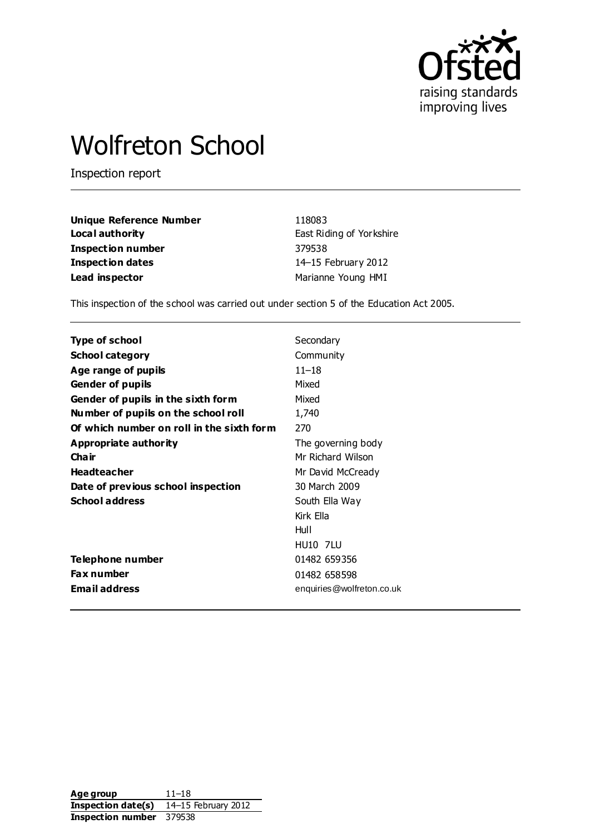

# Wolfreton School

Inspection report

| <b>Unique Reference Number</b> | 118083                   |
|--------------------------------|--------------------------|
| Local authority                | East Riding of Yorkshire |
| Inspection number              | 379538                   |
| <b>Inspection dates</b>        | 14-15 February 2012      |
| Lead inspector                 | Marianne Young HMI       |

This inspection of the school was carried out under section 5 of the Education Act 2005.

| Type of school                            | Secondary                 |
|-------------------------------------------|---------------------------|
| <b>School category</b>                    | Community                 |
| Age range of pupils                       | $11 - 18$                 |
| <b>Gender of pupils</b>                   | Mixed                     |
| Gender of pupils in the sixth form        | Mixed                     |
| Number of pupils on the school roll       | 1,740                     |
| Of which number on roll in the sixth form | 270                       |
| Appropriate authority                     | The governing body        |
| Cha ir                                    | Mr Richard Wilson         |
| <b>Headteacher</b>                        | Mr David McCready         |
| Date of previous school inspection        | 30 March 2009             |
| <b>School address</b>                     | South Ella Way            |
|                                           | Kirk Ella                 |
|                                           | Hull                      |
|                                           | <b>HU10 7LU</b>           |
| Telephone number                          | 01482 659356              |
| <b>Fax number</b>                         | 01482 658598              |
| <b>Email address</b>                      | enquiries@wolfreton.co.uk |
|                                           |                           |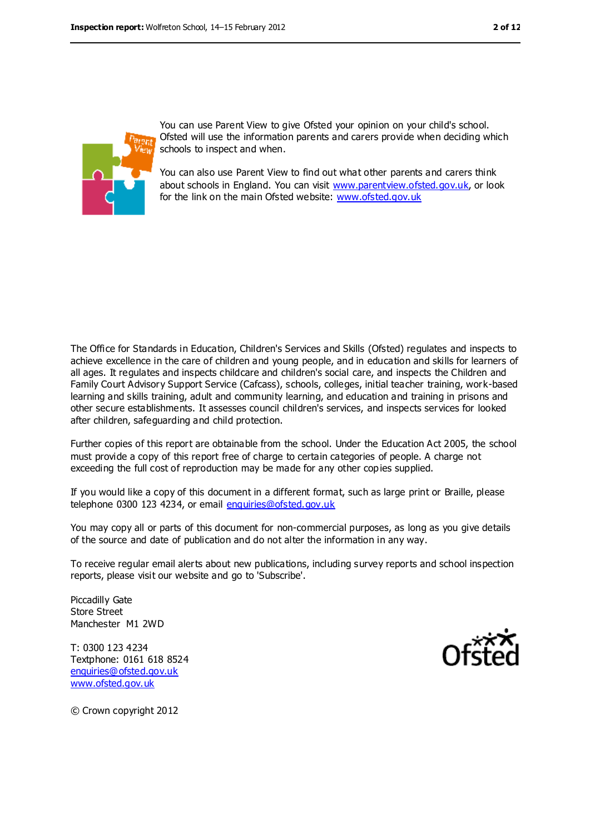

You can use Parent View to give Ofsted your opinion on your child's school. Ofsted will use the information parents and carers provide when deciding which schools to inspect and when.

You can also use Parent View to find out what other parents and carers think about schools in England. You can visit [www.parentview.ofsted.gov.uk,](file:///C:/Users/kculshaw/myoung/AppData/Local/Microsoft/Windows/Temporary%20Internet%20Files/Content.IE5/JKGAIYMP/www.parentview.ofsted.gov.uk) or look for the link on the main Ofsted website: [www.ofsted.gov.uk](file:///C:/Users/kculshaw/myoung/AppData/Local/Microsoft/Windows/Temporary%20Internet%20Files/Content.IE5/JKGAIYMP/www.ofsted.gov.uk)

The Office for Standards in Education, Children's Services and Skills (Ofsted) regulates and inspects to achieve excellence in the care of children and young people, and in education and skills for learners of all ages. It regulates and inspects childcare and children's social care, and inspects the Children and Family Court Advisory Support Service (Cafcass), schools, colleges, initial teacher training, work-based learning and skills training, adult and community learning, and education and training in prisons and other secure establishments. It assesses council children's services, and inspects services for looked after children, safeguarding and child protection.

Further copies of this report are obtainable from the school. Under the Education Act 2005, the school must provide a copy of this report free of charge to certain categories of people. A charge not exceeding the full cost of reproduction may be made for any other copies supplied.

If you would like a copy of this document in a different format, such as large print or Braille, please telephone 0300 123 4234, or email [enquiries@ofsted.gov.uk](mailto:enquiries@ofsted.gov.uk)

You may copy all or parts of this document for non-commercial purposes, as long as you give details of the source and date of publication and do not alter the information in any way.

To receive regular email alerts about new publications, including survey reports and school inspection reports, please visit our website and go to 'Subscribe'.

Piccadilly Gate Store Street Manchester M1 2WD

T: 0300 123 4234 Textphone: 0161 618 8524 [enquiries@ofsted.gov.uk](mailto:enquiries@ofsted.gov.uk) [www.ofsted.gov.uk](http://www.ofsted.gov.uk/)



© Crown copyright 2012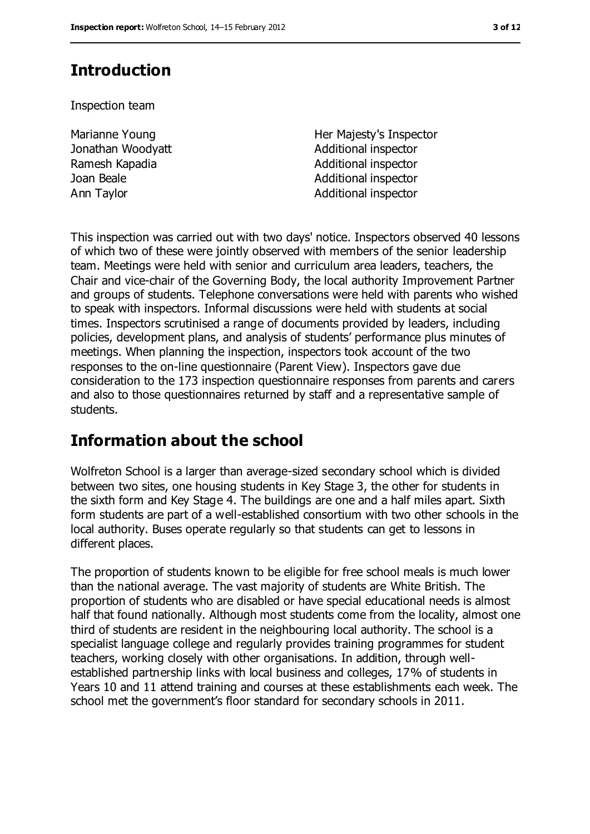# **Introduction**

Inspection team

Marianne Young Jonathan Woodyatt

Her Majesty's Inspector Additional inspector Ramesh Kapadia **Additional inspector** Joan Beale **Additional inspector** Ann Taylor **Additional inspector** 

This inspection was carried out with two days' notice. Inspectors observed 40 lessons of which two of these were jointly observed with members of the senior leadership team. Meetings were held with senior and curriculum area leaders, teachers, the Chair and vice-chair of the Governing Body, the local authority Improvement Partner and groups of students. Telephone conversations were held with parents who wished to speak with inspectors. Informal discussions were held with students at social times. Inspectors scrutinised a range of documents provided by leaders, including policies, development plans, and analysis of students' performance plus minutes of meetings. When planning the inspection, inspectors took account of the two responses to the on-line questionnaire (Parent View). Inspectors gave due consideration to the 173 inspection questionnaire responses from parents and carers and also to those questionnaires returned by staff and a representative sample of students.

# **Information about the school**

Wolfreton School is a larger than average-sized secondary school which is divided between two sites, one housing students in Key Stage 3, the other for students in the sixth form and Key Stage 4. The buildings are one and a half miles apart. Sixth form students are part of a well-established consortium with two other schools in the local authority. Buses operate regularly so that students can get to lessons in different places.

The proportion of students known to be eligible for free school meals is much lower than the national average. The vast majority of students are White British. The proportion of students who are disabled or have special educational needs is almost half that found nationally. Although most students come from the locality, almost one third of students are resident in the neighbouring local authority. The school is a specialist language college and regularly provides training programmes for student teachers, working closely with other organisations. In addition, through wellestablished partnership links with local business and colleges, 17% of students in Years 10 and 11 attend training and courses at these establishments each week. The school met the government's floor standard for secondary schools in 2011.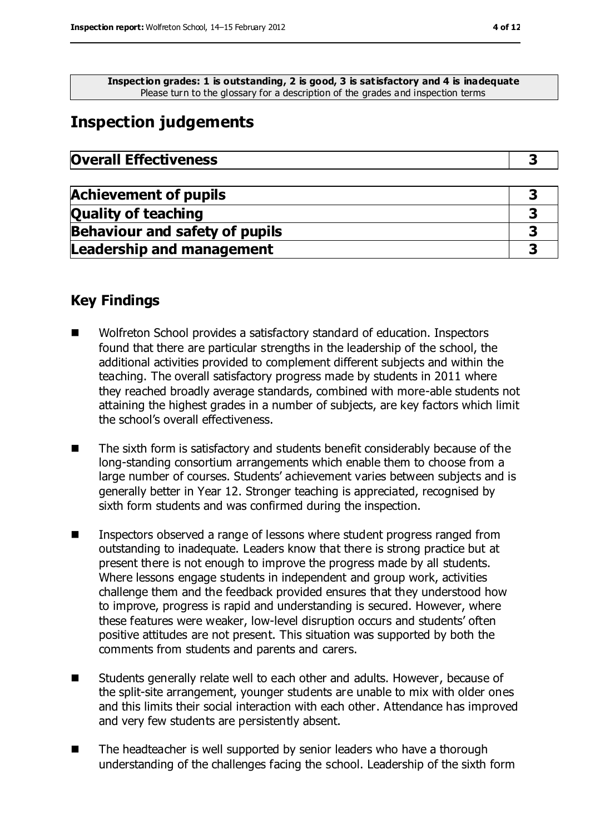**Inspection grades: 1 is outstanding, 2 is good, 3 is satisfactory and 4 is inadequate** Please turn to the glossary for a description of the grades and inspection terms

# **Inspection judgements**

| <b>Overall Effectiveness</b> |  |
|------------------------------|--|
|------------------------------|--|

| <b>Achievement of pupils</b>          |  |
|---------------------------------------|--|
| <b>Quality of teaching</b>            |  |
| <b>Behaviour and safety of pupils</b> |  |
| <b>Leadership and management</b>      |  |

### **Key Findings**

- Wolfreton School provides a satisfactory standard of education. Inspectors found that there are particular strengths in the leadership of the school, the additional activities provided to complement different subjects and within the teaching. The overall satisfactory progress made by students in 2011 where they reached broadly average standards, combined with more-able students not attaining the highest grades in a number of subjects, are key factors which limit the school's overall effectiveness.
- The sixth form is satisfactory and students benefit considerably because of the long-standing consortium arrangements which enable them to choose from a large number of courses. Students' achievement varies between subjects and is generally better in Year 12. Stronger teaching is appreciated, recognised by sixth form students and was confirmed during the inspection.
- Inspectors observed a range of lessons where student progress ranged from outstanding to inadequate. Leaders know that there is strong practice but at present there is not enough to improve the progress made by all students. Where lessons engage students in independent and group work, activities challenge them and the feedback provided ensures that they understood how to improve, progress is rapid and understanding is secured. However, where these features were weaker, low-level disruption occurs and students' often positive attitudes are not present. This situation was supported by both the comments from students and parents and carers.
- Students generally relate well to each other and adults. However, because of the split-site arrangement, younger students are unable to mix with older ones and this limits their social interaction with each other. Attendance has improved and very few students are persistently absent.
- The headteacher is well supported by senior leaders who have a thorough understanding of the challenges facing the school. Leadership of the sixth form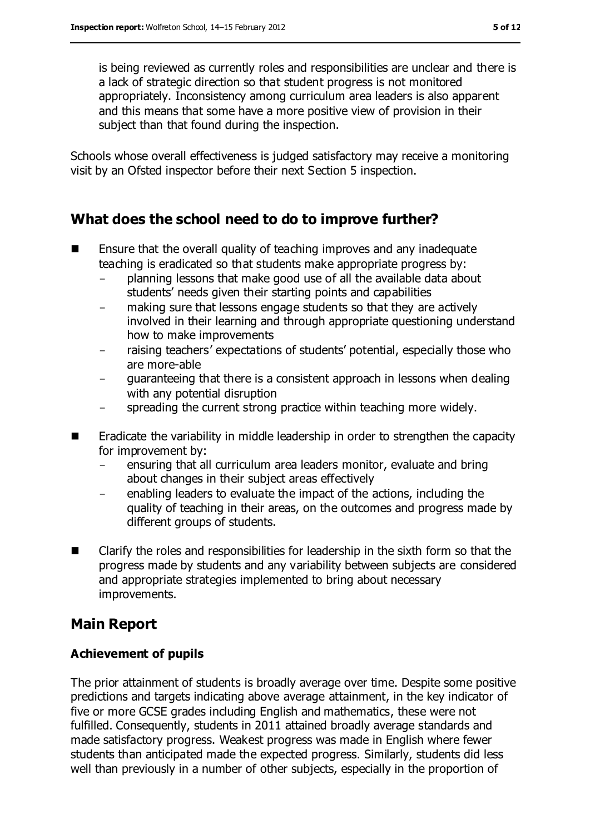is being reviewed as currently roles and responsibilities are unclear and there is a lack of strategic direction so that student progress is not monitored appropriately. Inconsistency among curriculum area leaders is also apparent and this means that some have a more positive view of provision in their subject than that found during the inspection.

Schools whose overall effectiveness is judged satisfactory may receive a monitoring visit by an Ofsted inspector before their next Section 5 inspection.

### **What does the school need to do to improve further?**

- **E** Ensure that the overall quality of teaching improves and any inadequate teaching is eradicated so that students make appropriate progress by:
	- planning lessons that make good use of all the available data about students' needs given their starting points and capabilities
	- making sure that lessons engage students so that they are actively involved in their learning and through appropriate questioning understand how to make improvements
	- raising teachers' expectations of students' potential, especially those who are more-able
	- guaranteeing that there is a consistent approach in lessons when dealing with any potential disruption
	- spreading the current strong practice within teaching more widely.
- **E** Eradicate the variability in middle leadership in order to strengthen the capacity for improvement by:
	- ensuring that all curriculum area leaders monitor, evaluate and bring about changes in their subject areas effectively
	- enabling leaders to evaluate the impact of the actions, including the quality of teaching in their areas, on the outcomes and progress made by different groups of students.
- Clarify the roles and responsibilities for leadership in the sixth form so that the progress made by students and any variability between subjects are considered and appropriate strategies implemented to bring about necessary improvements.

# **Main Report**

### **Achievement of pupils**

The prior attainment of students is broadly average over time. Despite some positive predictions and targets indicating above average attainment, in the key indicator of five or more GCSE grades including English and mathematics, these were not fulfilled. Consequently, students in 2011 attained broadly average standards and made satisfactory progress. Weakest progress was made in English where fewer students than anticipated made the expected progress. Similarly, students did less well than previously in a number of other subjects, especially in the proportion of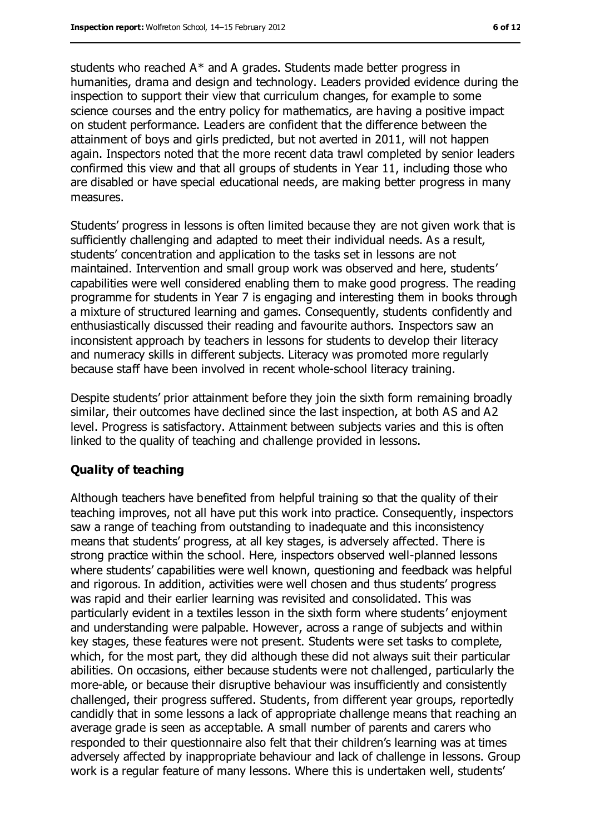students who reached A\* and A grades. Students made better progress in humanities, drama and design and technology. Leaders provided evidence during the inspection to support their view that curriculum changes, for example to some science courses and the entry policy for mathematics, are having a positive impact on student performance. Leaders are confident that the difference between the attainment of boys and girls predicted, but not averted in 2011, will not happen again. Inspectors noted that the more recent data trawl completed by senior leaders confirmed this view and that all groups of students in Year 11, including those who are disabled or have special educational needs, are making better progress in many measures.

Students' progress in lessons is often limited because they are not given work that is sufficiently challenging and adapted to meet their individual needs. As a result, students' concentration and application to the tasks set in lessons are not maintained. Intervention and small group work was observed and here, students' capabilities were well considered enabling them to make good progress. The reading programme for students in Year 7 is engaging and interesting them in books through a mixture of structured learning and games. Consequently, students confidently and enthusiastically discussed their reading and favourite authors. Inspectors saw an inconsistent approach by teachers in lessons for students to develop their literacy and numeracy skills in different subjects. Literacy was promoted more regularly because staff have been involved in recent whole-school literacy training.

Despite students' prior attainment before they join the sixth form remaining broadly similar, their outcomes have declined since the last inspection, at both AS and A2 level. Progress is satisfactory. Attainment between subjects varies and this is often linked to the quality of teaching and challenge provided in lessons.

#### **Quality of teaching**

Although teachers have benefited from helpful training so that the quality of their teaching improves, not all have put this work into practice. Consequently, inspectors saw a range of teaching from outstanding to inadequate and this inconsistency means that students' progress, at all key stages, is adversely affected. There is strong practice within the school. Here, inspectors observed well-planned lessons where students' capabilities were well known, questioning and feedback was helpful and rigorous. In addition, activities were well chosen and thus students' progress was rapid and their earlier learning was revisited and consolidated. This was particularly evident in a textiles lesson in the sixth form where students' enjoyment and understanding were palpable. However, across a range of subjects and within key stages, these features were not present. Students were set tasks to complete, which, for the most part, they did although these did not always suit their particular abilities. On occasions, either because students were not challenged, particularly the more-able, or because their disruptive behaviour was insufficiently and consistently challenged, their progress suffered. Students, from different year groups, reportedly candidly that in some lessons a lack of appropriate challenge means that reaching an average grade is seen as acceptable. A small number of parents and carers who responded to their questionnaire also felt that their children's learning was at times adversely affected by inappropriate behaviour and lack of challenge in lessons. Group work is a regular feature of many lessons. Where this is undertaken well, students'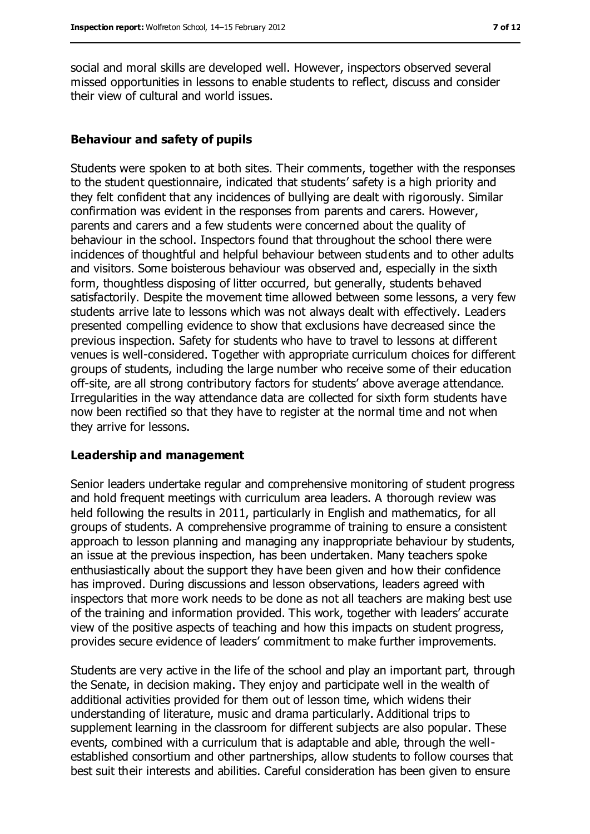social and moral skills are developed well. However, inspectors observed several missed opportunities in lessons to enable students to reflect, discuss and consider their view of cultural and world issues.

#### **Behaviour and safety of pupils**

Students were spoken to at both sites. Their comments, together with the responses to the student questionnaire, indicated that students' safety is a high priority and they felt confident that any incidences of bullying are dealt with rigorously. Similar confirmation was evident in the responses from parents and carers. However, parents and carers and a few students were concerned about the quality of behaviour in the school. Inspectors found that throughout the school there were incidences of thoughtful and helpful behaviour between students and to other adults and visitors. Some boisterous behaviour was observed and, especially in the sixth form, thoughtless disposing of litter occurred, but generally, students behaved satisfactorily. Despite the movement time allowed between some lessons, a very few students arrive late to lessons which was not always dealt with effectively. Leaders presented compelling evidence to show that exclusions have decreased since the previous inspection. Safety for students who have to travel to lessons at different venues is well-considered. Together with appropriate curriculum choices for different groups of students, including the large number who receive some of their education off-site, are all strong contributory factors for students' above average attendance. Irregularities in the way attendance data are collected for sixth form students have now been rectified so that they have to register at the normal time and not when they arrive for lessons.

#### **Leadership and management**

Senior leaders undertake regular and comprehensive monitoring of student progress and hold frequent meetings with curriculum area leaders. A thorough review was held following the results in 2011, particularly in English and mathematics, for all groups of students. A comprehensive programme of training to ensure a consistent approach to lesson planning and managing any inappropriate behaviour by students, an issue at the previous inspection, has been undertaken. Many teachers spoke enthusiastically about the support they have been given and how their confidence has improved. During discussions and lesson observations, leaders agreed with inspectors that more work needs to be done as not all teachers are making best use of the training and information provided. This work, together with leaders' accurate view of the positive aspects of teaching and how this impacts on student progress, provides secure evidence of leaders' commitment to make further improvements.

Students are very active in the life of the school and play an important part, through the Senate, in decision making. They enjoy and participate well in the wealth of additional activities provided for them out of lesson time, which widens their understanding of literature, music and drama particularly. Additional trips to supplement learning in the classroom for different subjects are also popular. These events, combined with a curriculum that is adaptable and able, through the wellestablished consortium and other partnerships, allow students to follow courses that best suit their interests and abilities. Careful consideration has been given to ensure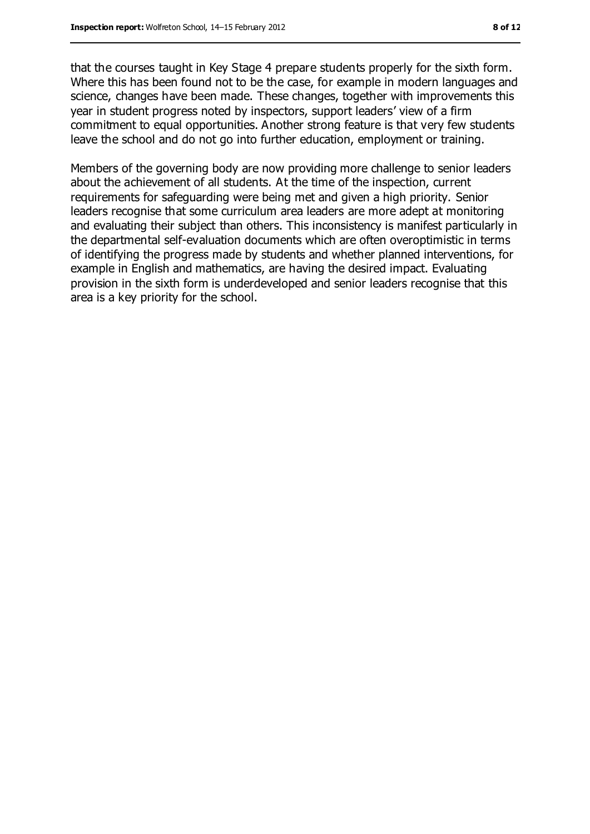that the courses taught in Key Stage 4 prepare students properly for the sixth form. Where this has been found not to be the case, for example in modern languages and science, changes have been made. These changes, together with improvements this year in student progress noted by inspectors, support leaders' view of a firm commitment to equal opportunities. Another strong feature is that very few students leave the school and do not go into further education, employment or training.

Members of the governing body are now providing more challenge to senior leaders about the achievement of all students. At the time of the inspection, current requirements for safeguarding were being met and given a high priority. Senior leaders recognise that some curriculum area leaders are more adept at monitoring and evaluating their subject than others. This inconsistency is manifest particularly in the departmental self-evaluation documents which are often overoptimistic in terms of identifying the progress made by students and whether planned interventions, for example in English and mathematics, are having the desired impact. Evaluating provision in the sixth form is underdeveloped and senior leaders recognise that this area is a key priority for the school.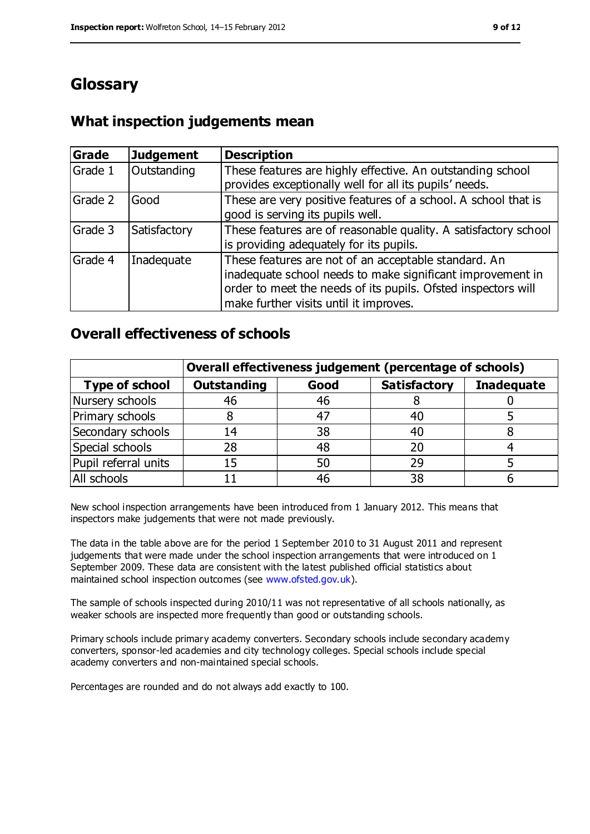# **Glossary**

# **What inspection judgements mean**

| Grade   | <b>Judgement</b> | <b>Description</b>                                                                                                                                                                                                            |
|---------|------------------|-------------------------------------------------------------------------------------------------------------------------------------------------------------------------------------------------------------------------------|
| Grade 1 | Outstanding      | These features are highly effective. An outstanding school<br>provides exceptionally well for all its pupils' needs.                                                                                                          |
| Grade 2 | Good             | These are very positive features of a school. A school that is<br>good is serving its pupils well.                                                                                                                            |
| Grade 3 | Satisfactory     | These features are of reasonable quality. A satisfactory school<br>is providing adequately for its pupils.                                                                                                                    |
| Grade 4 | Inadequate       | These features are not of an acceptable standard. An<br>inadequate school needs to make significant improvement in<br>order to meet the needs of its pupils. Ofsted inspectors will<br>make further visits until it improves. |

### **Overall effectiveness of schools**

|                       | Overall effectiveness judgement (percentage of schools) |      |                     |                   |
|-----------------------|---------------------------------------------------------|------|---------------------|-------------------|
| <b>Type of school</b> | <b>Outstanding</b>                                      | Good | <b>Satisfactory</b> | <b>Inadequate</b> |
| Nursery schools       | 46                                                      | 46   |                     |                   |
| Primary schools       | 8                                                       | 47   | 40                  |                   |
| Secondary schools     | 14                                                      | 38   | 40                  |                   |
| Special schools       | 28                                                      | 48   | 20                  |                   |
| Pupil referral units  | 15                                                      | 50   | 29                  |                   |
| All schools           |                                                         | 46   | 38                  |                   |

New school inspection arrangements have been introduced from 1 January 2012. This means that inspectors make judgements that were not made previously.

The data in the table above are for the period 1 September 2010 to 31 August 2011 and represent judgements that were made under the school inspection arrangements that were introduced on 1 September 2009. These data are consistent with the latest published official statistics about maintained school inspection outcomes (see [www.ofsted.gov.uk\)](file:///C:/Users/kculshaw/myoung/AppData/Local/Microsoft/Windows/Temporary%20Internet%20Files/Content.IE5/JKGAIYMP/www.ofsted.gov.uk).

The sample of schools inspected during 2010/11 was not representative of all schools nationally, as weaker schools are inspected more frequently than good or outstanding schools.

Primary schools include primary academy converters. Secondary schools include secondary academy converters, sponsor-led academies and city technology colleges. Special schools include special academy converters and non-maintained special schools.

Percentages are rounded and do not always add exactly to 100.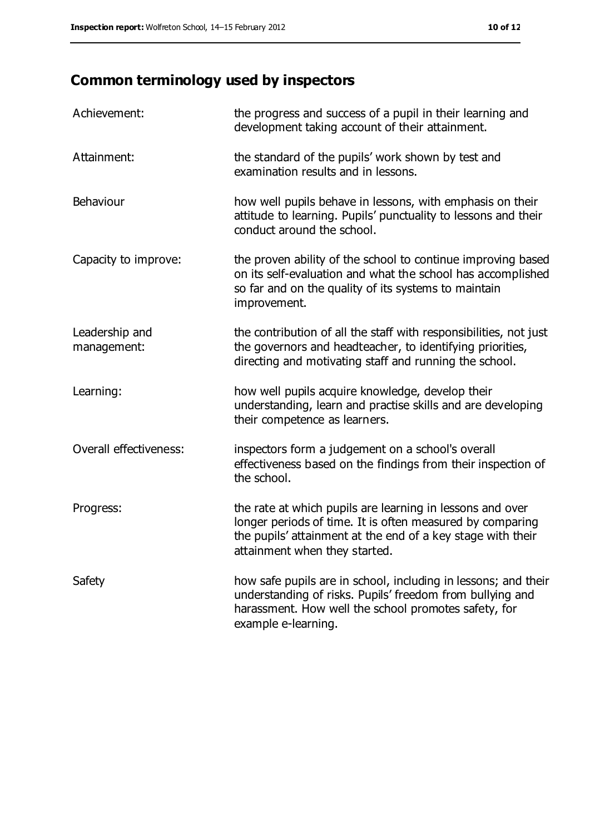# **Common terminology used by inspectors**

| Achievement:                  | the progress and success of a pupil in their learning and<br>development taking account of their attainment.                                                                                                           |
|-------------------------------|------------------------------------------------------------------------------------------------------------------------------------------------------------------------------------------------------------------------|
| Attainment:                   | the standard of the pupils' work shown by test and<br>examination results and in lessons.                                                                                                                              |
| Behaviour                     | how well pupils behave in lessons, with emphasis on their<br>attitude to learning. Pupils' punctuality to lessons and their<br>conduct around the school.                                                              |
| Capacity to improve:          | the proven ability of the school to continue improving based<br>on its self-evaluation and what the school has accomplished<br>so far and on the quality of its systems to maintain<br>improvement.                    |
| Leadership and<br>management: | the contribution of all the staff with responsibilities, not just<br>the governors and headteacher, to identifying priorities,<br>directing and motivating staff and running the school.                               |
| Learning:                     | how well pupils acquire knowledge, develop their<br>understanding, learn and practise skills and are developing<br>their competence as learners.                                                                       |
| Overall effectiveness:        | inspectors form a judgement on a school's overall<br>effectiveness based on the findings from their inspection of<br>the school.                                                                                       |
| Progress:                     | the rate at which pupils are learning in lessons and over<br>longer periods of time. It is often measured by comparing<br>the pupils' attainment at the end of a key stage with their<br>attainment when they started. |
| Safety                        | how safe pupils are in school, including in lessons; and their<br>understanding of risks. Pupils' freedom from bullying and<br>harassment. How well the school promotes safety, for<br>example e-learning.             |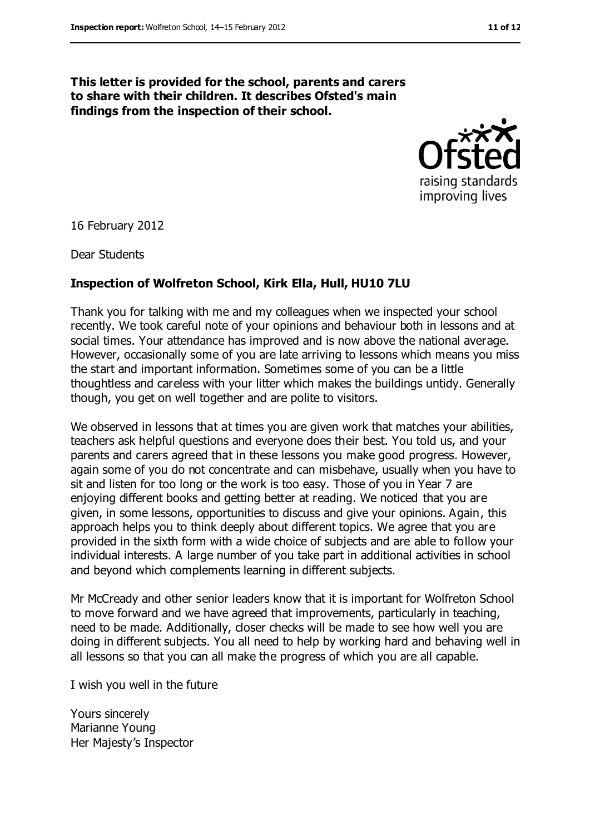#### **This letter is provided for the school, parents and carers to share with their children. It describes Ofsted's main findings from the inspection of their school.**



16 February 2012

Dear Students

#### **Inspection of Wolfreton School, Kirk Ella, Hull, HU10 7LU**

Thank you for talking with me and my colleagues when we inspected your school recently. We took careful note of your opinions and behaviour both in lessons and at social times. Your attendance has improved and is now above the national average. However, occasionally some of you are late arriving to lessons which means you miss the start and important information. Sometimes some of you can be a little thoughtless and careless with your litter which makes the buildings untidy. Generally though, you get on well together and are polite to visitors.

We observed in lessons that at times you are given work that matches your abilities, teachers ask helpful questions and everyone does their best. You told us, and your parents and carers agreed that in these lessons you make good progress. However, again some of you do not concentrate and can misbehave, usually when you have to sit and listen for too long or the work is too easy. Those of you in Year 7 are enjoying different books and getting better at reading. We noticed that you are given, in some lessons, opportunities to discuss and give your opinions. Again, this approach helps you to think deeply about different topics. We agree that you are provided in the sixth form with a wide choice of subjects and are able to follow your individual interests. A large number of you take part in additional activities in school and beyond which complements learning in different subjects.

Mr McCready and other senior leaders know that it is important for Wolfreton School to move forward and we have agreed that improvements, particularly in teaching, need to be made. Additionally, closer checks will be made to see how well you are doing in different subjects. You all need to help by working hard and behaving well in all lessons so that you can all make the progress of which you are all capable.

I wish you well in the future

Yours sincerely Marianne Young Her Majesty's Inspector